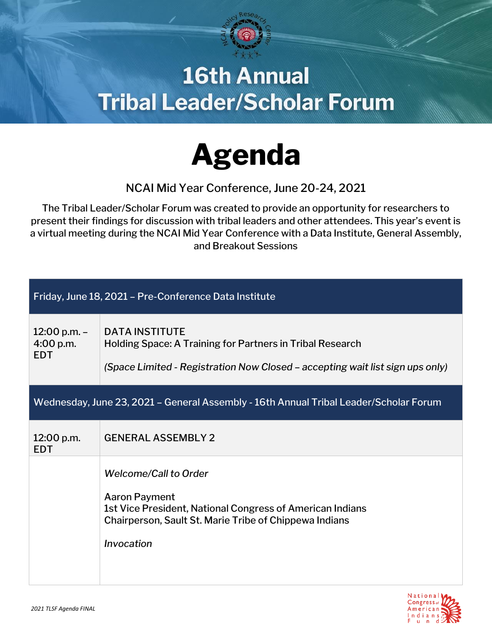

## **16th Annual Tribal Leader/Scholar Forum**



NCAI Mid Year Conference, June 20-24, 2021

The Tribal Leader/Scholar Forum was created to provide an opportunity for researchers to present their findings for discussion with tribal leaders and other attendees. This year's event is a virtual meeting during the NCAI Mid Year Conference with a Data Institute, General Assembly, and Breakout Sessions

| Friday, June 18, 2021 - Pre-Conference Data Institute                                 |                                                                                                                                                                                           |  |
|---------------------------------------------------------------------------------------|-------------------------------------------------------------------------------------------------------------------------------------------------------------------------------------------|--|
| 12:00 p.m. $-$<br>4:00 p.m.<br><b>EDT</b>                                             | <b>DATA INSTITUTE</b><br>Holding Space: A Training for Partners in Tribal Research<br>(Space Limited - Registration Now Closed - accepting wait list sign ups only)                       |  |
| Wednesday, June 23, 2021 - General Assembly - 16th Annual Tribal Leader/Scholar Forum |                                                                                                                                                                                           |  |
| 12:00 p.m.<br><b>EDT</b>                                                              | <b>GENERAL ASSEMBLY 2</b>                                                                                                                                                                 |  |
|                                                                                       | <b>Welcome/Call to Order</b><br><b>Aaron Payment</b><br>1st Vice President, National Congress of American Indians<br>Chairperson, Sault St. Marie Tribe of Chippewa Indians<br>Invocation |  |

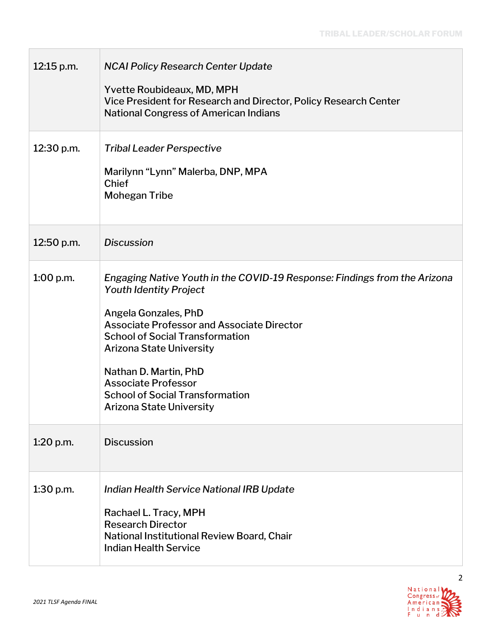| 12:15 p.m.  | <b>NCAI Policy Research Center Update</b><br>Yvette Roubideaux, MD, MPH<br>Vice President for Research and Director, Policy Research Center<br><b>National Congress of American Indians</b>                                                                                                                                                                                                              |
|-------------|----------------------------------------------------------------------------------------------------------------------------------------------------------------------------------------------------------------------------------------------------------------------------------------------------------------------------------------------------------------------------------------------------------|
| 12:30 p.m.  | <b>Tribal Leader Perspective</b><br>Marilynn "Lynn" Malerba, DNP, MPA<br><b>Chief</b><br><b>Mohegan Tribe</b>                                                                                                                                                                                                                                                                                            |
| 12:50 p.m.  | <b>Discussion</b>                                                                                                                                                                                                                                                                                                                                                                                        |
| 1:00 p.m.   | Engaging Native Youth in the COVID-19 Response: Findings from the Arizona<br><b>Youth Identity Project</b><br>Angela Gonzales, PhD<br><b>Associate Professor and Associate Director</b><br><b>School of Social Transformation</b><br><b>Arizona State University</b><br>Nathan D. Martin, PhD<br><b>Associate Professor</b><br><b>School of Social Transformation</b><br><b>Arizona State University</b> |
| $1:20$ p.m. | <b>Discussion</b>                                                                                                                                                                                                                                                                                                                                                                                        |
| $1:30$ p.m. | Indian Health Service National IRB Update<br>Rachael L. Tracy, MPH<br><b>Research Director</b><br>National Institutional Review Board, Chair<br><b>Indian Health Service</b>                                                                                                                                                                                                                             |



 $\Box$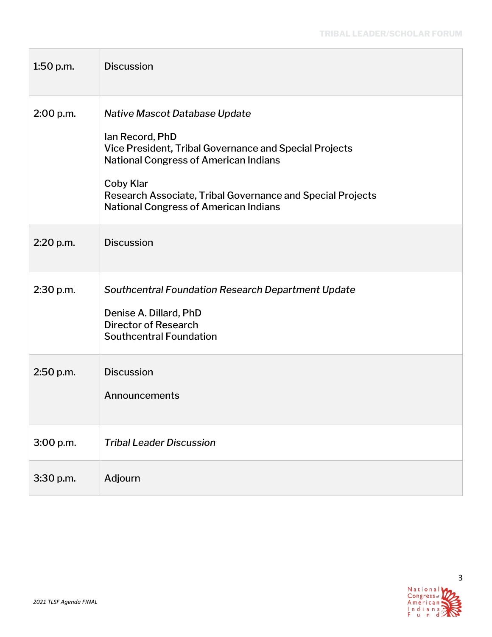| $1:50$ p.m. | <b>Discussion</b>                                                                                                                                                                                                                                                                     |
|-------------|---------------------------------------------------------------------------------------------------------------------------------------------------------------------------------------------------------------------------------------------------------------------------------------|
| 2:00 p.m.   | Native Mascot Database Update<br>Ian Record, PhD<br>Vice President, Tribal Governance and Special Projects<br><b>National Congress of American Indians</b><br>Coby Klar<br>Research Associate, Tribal Governance and Special Projects<br><b>National Congress of American Indians</b> |
| 2:20 p.m.   | <b>Discussion</b>                                                                                                                                                                                                                                                                     |
| 2:30 p.m.   | Southcentral Foundation Research Department Update<br>Denise A. Dillard, PhD<br><b>Director of Research</b><br><b>Southcentral Foundation</b>                                                                                                                                         |
| 2:50 p.m.   | <b>Discussion</b><br>Announcements                                                                                                                                                                                                                                                    |
| 3:00 p.m.   | <b>Tribal Leader Discussion</b>                                                                                                                                                                                                                                                       |
| 3:30 p.m.   | Adjourn                                                                                                                                                                                                                                                                               |

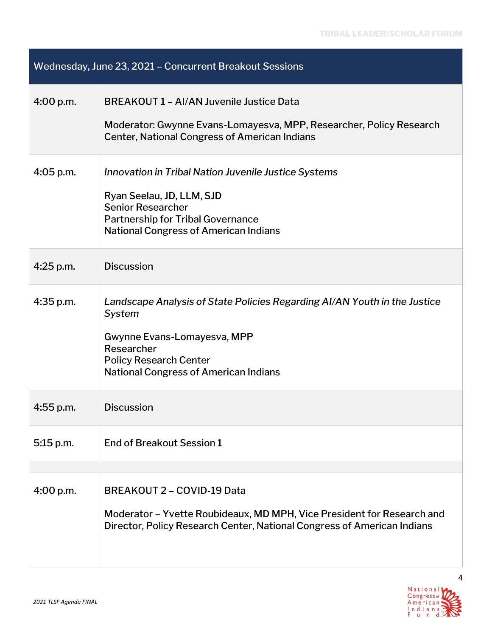| Wednesday, June 23, 2021 - Concurrent Breakout Sessions |                                                                                                                                                                                                                   |  |
|---------------------------------------------------------|-------------------------------------------------------------------------------------------------------------------------------------------------------------------------------------------------------------------|--|
| 4:00 p.m.                                               | <b>BREAKOUT 1 - AI/AN Juvenile Justice Data</b><br>Moderator: Gwynne Evans-Lomayesva, MPP, Researcher, Policy Research<br><b>Center, National Congress of American Indians</b>                                    |  |
| $4:05$ p.m.                                             | Innovation in Tribal Nation Juvenile Justice Systems<br>Ryan Seelau, JD, LLM, SJD<br><b>Senior Researcher</b><br><b>Partnership for Tribal Governance</b><br><b>National Congress of American Indians</b>         |  |
| $4:25$ p.m.                                             | <b>Discussion</b>                                                                                                                                                                                                 |  |
| $4:35$ p.m.                                             | Landscape Analysis of State Policies Regarding AI/AN Youth in the Justice<br>System<br>Gwynne Evans-Lomayesva, MPP<br>Researcher<br><b>Policy Research Center</b><br><b>National Congress of American Indians</b> |  |
| $4:55$ p.m.                                             | <b>Discussion</b>                                                                                                                                                                                                 |  |
| 5:15 p.m.                                               | End of Breakout Session 1                                                                                                                                                                                         |  |
|                                                         |                                                                                                                                                                                                                   |  |
| 4:00 p.m.                                               | <b>BREAKOUT 2 - COVID-19 Data</b><br>Moderator - Yvette Roubideaux, MD MPH, Vice President for Research and<br>Director, Policy Research Center, National Congress of American Indians                            |  |

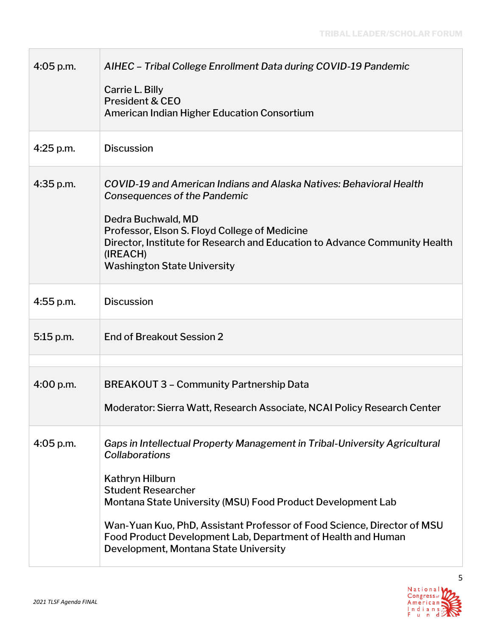| AIHEC - Tribal College Enrollment Data during COVID-19 Pandemic<br>Carrie L. Billy<br><b>President &amp; CEO</b><br>American Indian Higher Education Consortium                                                                                                                                                                                                                                 |
|-------------------------------------------------------------------------------------------------------------------------------------------------------------------------------------------------------------------------------------------------------------------------------------------------------------------------------------------------------------------------------------------------|
| <b>Discussion</b>                                                                                                                                                                                                                                                                                                                                                                               |
| COVID-19 and American Indians and Alaska Natives: Behavioral Health<br>Consequences of the Pandemic<br>Dedra Buchwald, MD<br>Professor, Elson S. Floyd College of Medicine<br>Director, Institute for Research and Education to Advance Community Health<br>(IREACH)<br><b>Washington State University</b>                                                                                      |
| <b>Discussion</b>                                                                                                                                                                                                                                                                                                                                                                               |
| End of Breakout Session 2                                                                                                                                                                                                                                                                                                                                                                       |
|                                                                                                                                                                                                                                                                                                                                                                                                 |
| <b>BREAKOUT 3 - Community Partnership Data</b>                                                                                                                                                                                                                                                                                                                                                  |
| Moderator: Sierra Watt, Research Associate, NCAI Policy Research Center                                                                                                                                                                                                                                                                                                                         |
| Gaps in Intellectual Property Management in Tribal-University Agricultural<br>Collaborations<br>Kathryn Hilburn<br><b>Student Researcher</b><br>Montana State University (MSU) Food Product Development Lab<br>Wan-Yuan Kuo, PhD, Assistant Professor of Food Science, Director of MSU<br>Food Product Development Lab, Department of Health and Human<br>Development, Montana State University |
|                                                                                                                                                                                                                                                                                                                                                                                                 |



 $\Box$